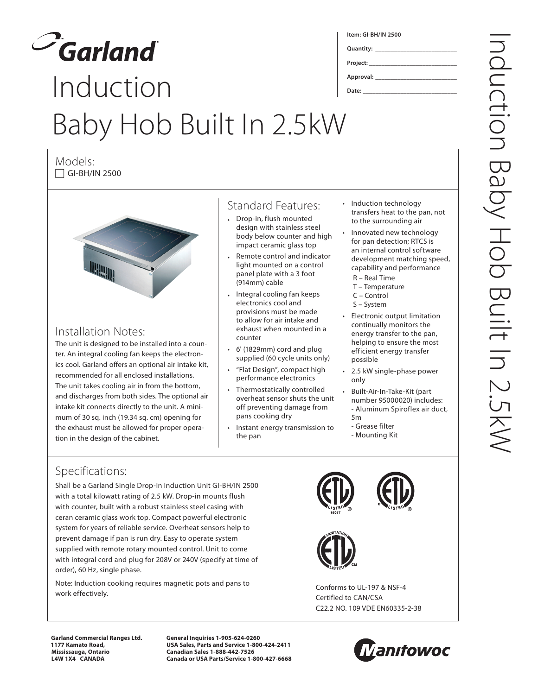

## Induction Baby Hob Built In 2.5kW **Project: \_\_\_\_\_\_\_\_\_\_\_\_\_\_\_\_\_\_\_\_\_\_\_\_\_\_\_\_ Approval: \_\_\_\_\_\_\_\_\_\_\_\_\_\_\_\_\_\_\_\_\_\_\_\_\_\_ Date: \_\_\_\_\_\_\_\_\_\_\_\_\_\_\_\_\_\_\_\_\_\_\_\_\_\_\_\_\_\_**

Models:  $\Box$  GI-BH/IN 2500



## Installation Notes:

The unit is designed to be installed into a counter. An integral cooling fan keeps the electronics cool. Garland offers an optional air intake kit, recommended for all enclosed installations. The unit takes cooling air in from the bottom, and discharges from both sides. The optional air intake kit connects directly to the unit. A minimum of 30 sq. inch (19.34 sq. cm) opening for the exhaust must be allowed for proper operation in the design of the cabinet.

## Standard Features:

- Drop-in, flush mounted design with stainless steel body below counter and high impact ceramic glass top
- Remote control and indicator light mounted on a control panel plate with a 3 foot (914mm) cable
- Integral cooling fan keeps electronics cool and provisions must be made to allow for air intake and exhaust when mounted in a counter
- 6' (1829mm) cord and plug supplied (60 cycle units only)
- "Flat Design", compact high performance electronics
- Thermostatically controlled overheat sensor shuts the unit off preventing damage from pans cooking dry
- Instant energy transmission to the pan

Induction technology transfers heat to the pan, not to the surrounding air

- Innovated new technology for pan detection; RTCS is an internal control software development matching speed, capability and performance
- R Real Time

**Item: GI-BH/IN 2500**

**Quantity: \_\_\_\_\_\_\_\_\_\_\_\_\_\_\_\_\_\_\_\_\_\_\_\_\_\_**

- T Temperature
- C Control
- S System
- • Electronic output limitation continually monitors the energy transfer to the pan, helping to ensure the most efficient energy transfer possible
- 2.5 kW single-phase power only
- Built-Air-In-Take-Kit (part number 95000020) includes: - Aluminum Spiroflex air duct, 5m
	- Grease filter
	- Mounting Kit

## Specifications:

Shall be a Garland Single Drop-In Induction Unit GI-BH/IN 2500 with a total kilowatt rating of 2.5 kW. Drop-in mounts flush with counter, built with a robust stainless steel casing with ceran ceramic glass work top. Compact powerful electronic system for years of reliable service. Overheat sensors help to prevent damage if pan is run dry. Easy to operate system supplied with remote rotary mounted control. Unit to come with integral cord and plug for 208V or 240V (specify at time of order), 60 Hz, single phase.

Note: Induction cooking requires magnetic pots and pans to work effectively.

Conforms to UL-197 & NSF-4 Certified to CAN/CSA C22.2 NO. 109 VDE EN60335-2-38

**Garland Commercial Ranges Ltd. 1177 Kamato Road, Mississauga, Ontario L4W 1X4 CANADA**

**General Inquiries 1-905-624-0260 USA Sales, Parts and Service 1-800-424-2411 Canadian Sales 1-888-442-7526 Canada or USA Parts/Service 1-800-427-6668**